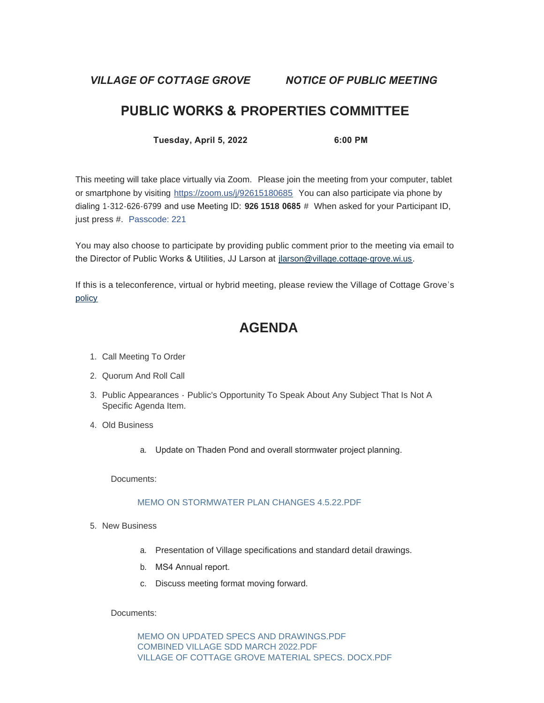*VILLAGE OF COTTAGE GROVE NOTICE OF PUBLIC MEETING*

# **PUBLIC WORKS & PROPERTIES COMMITTEE**

**Tuesday, April 5, 2022 6:00 PM**

This meeting will take place virtually via Zoom. Please join the meeting from your computer, tablet or smartphone by visiting <https://zoom.us/j/92615180685> You can also participate via phone by dialing 1-312-626-6799 and use Meeting ID: **926 1518 0685** # When asked for your Participant ID, just press #. Passcode: 221

You may also choose to participate by providing public comment prior to the meeting via email to the Director of Public Works & Utilities, JJ Larson at [jlarson@village.cottage-grove.wi.us](mailto:jlarson@village.cottage-grove.wi.us).

[If this](https://www.vi.cottagegrove.wi.gov/DocumentCenter/View/1850/Virtual-Hybrid-Tele-meeting-Policy-Final) is a teleconference, virtual or hybrid meeting, please review the Village of Cottage Grove's policy

# **AGENDA**

- 1. Call Meeting To Order
- 2. Quorum And Roll Call
- 3. Public Appearances Public's Opportunity To Speak About Any Subject That Is Not A Specific Agenda Item.
- Old Business 4.
	- a. Update on Thaden Pond and overall stormwater project planning.

Documents:

## [MEMO ON STORMWATER PLAN CHANGES 4.5.22.PDF](https://www.vi.cottagegrove.wi.gov/AgendaCenter/ViewFile/Item/9825?fileID=19432)

- 5. New Business
	- a. Presentation of Village specifications and standard detail drawings.
	- b. MS4 Annual report.
	- c. Discuss meeting format moving forward.

## Documents:

[MEMO ON UPDATED SPECS AND DRAWINGS.PDF](https://www.vi.cottagegrove.wi.gov/AgendaCenter/ViewFile/Item/9826?fileID=19433) [COMBINED VILLAGE SDD MARCH 2022.PDF](https://www.vi.cottagegrove.wi.gov/AgendaCenter/ViewFile/Item/9826?fileID=19434) [VILLAGE OF COTTAGE GROVE MATERIAL SPECS. DOCX.PDF](https://www.vi.cottagegrove.wi.gov/AgendaCenter/ViewFile/Item/9826?fileID=19435)